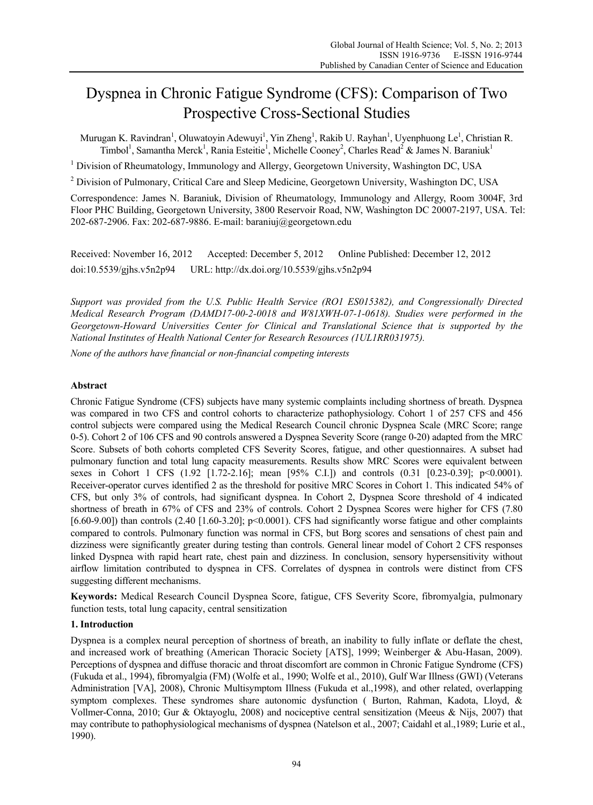# Dyspnea in Chronic Fatigue Syndrome (CFS): Comparison of Two Prospective Cross-Sectional Studies

Murugan K. Ravindran<sup>1</sup>, Oluwatoyin Adewuyi<sup>1</sup>, Yin Zheng<sup>1</sup>, Rakib U. Rayhan<sup>1</sup>, Uyenphuong Le<sup>1</sup>, Christian R. Timbol<sup>1</sup>, Samantha Merck<sup>1</sup>, Rania Esteitie<sup>1</sup>, Michelle Cooney<sup>2</sup>, Charles Read<sup>2</sup> & James N. Baraniuk<sup>1</sup>

<sup>1</sup> Division of Rheumatology, Immunology and Allergy, Georgetown University, Washington DC, USA

<sup>2</sup> Division of Pulmonary, Critical Care and Sleep Medicine, Georgetown University, Washington DC, USA

Correspondence: James N. Baraniuk, Division of Rheumatology, Immunology and Allergy, Room 3004F, 3rd Floor PHC Building, Georgetown University, 3800 Reservoir Road, NW, Washington DC 20007-2197, USA. Tel: 202-687-2906. Fax: 202-687-9886. E-mail: baraniuj@georgetown.edu

Received: November 16, 2012 Accepted: December 5, 2012 Online Published: December 12, 2012 doi:10.5539/gjhs.v5n2p94 URL: http://dx.doi.org/10.5539/gjhs.v5n2p94

*Support was provided from the U.S. Public Health Service (RO1 ES015382), and Congressionally Directed Medical Research Program (DAMD17-00-2-0018 and W81XWH-07-1-0618). Studies were performed in the Georgetown-Howard Universities Center for Clinical and Translational Science that is supported by the National Institutes of Health National Center for Research Resources (1UL1RR031975).* 

*None of the authors have financial or non-financial competing interests* 

# **Abstract**

Chronic Fatigue Syndrome (CFS) subjects have many systemic complaints including shortness of breath. Dyspnea was compared in two CFS and control cohorts to characterize pathophysiology. Cohort 1 of 257 CFS and 456 control subjects were compared using the Medical Research Council chronic Dyspnea Scale (MRC Score; range 0-5). Cohort 2 of 106 CFS and 90 controls answered a Dyspnea Severity Score (range 0-20) adapted from the MRC Score. Subsets of both cohorts completed CFS Severity Scores, fatigue, and other questionnaires. A subset had pulmonary function and total lung capacity measurements. Results show MRC Scores were equivalent between sexes in Cohort 1 CFS (1.92 [1.72-2.16]; mean [95% C.I.]) and controls (0.31 [0.23-0.39]; p<0.0001). Receiver-operator curves identified 2 as the threshold for positive MRC Scores in Cohort 1. This indicated 54% of CFS, but only 3% of controls, had significant dyspnea. In Cohort 2, Dyspnea Score threshold of 4 indicated shortness of breath in 67% of CFS and 23% of controls. Cohort 2 Dyspnea Scores were higher for CFS (7.80 [6.60-9.00]) than controls  $(2.40 \mid 1.60-3.20]$ ; p<0.0001). CFS had significantly worse fatigue and other complaints compared to controls. Pulmonary function was normal in CFS, but Borg scores and sensations of chest pain and dizziness were significantly greater during testing than controls. General linear model of Cohort 2 CFS responses linked Dyspnea with rapid heart rate, chest pain and dizziness. In conclusion, sensory hypersensitivity without airflow limitation contributed to dyspnea in CFS. Correlates of dyspnea in controls were distinct from CFS suggesting different mechanisms.

**Keywords:** Medical Research Council Dyspnea Score, fatigue, CFS Severity Score, fibromyalgia, pulmonary function tests, total lung capacity, central sensitization

# **1. Introduction**

Dyspnea is a complex neural perception of shortness of breath, an inability to fully inflate or deflate the chest, and increased work of breathing (American Thoracic Society [ATS], 1999; Weinberger & Abu-Hasan, 2009). Perceptions of dyspnea and diffuse thoracic and throat discomfort are common in Chronic Fatigue Syndrome (CFS) (Fukuda et al., 1994), fibromyalgia (FM) (Wolfe et al., 1990; Wolfe et al., 2010), Gulf War Illness (GWI) (Veterans Administration [VA], 2008), Chronic Multisymptom Illness (Fukuda et al.,1998), and other related, overlapping symptom complexes. These syndromes share autonomic dysfunction (Burton, Rahman, Kadota, Lloyd, & Vollmer-Conna, 2010; Gur & Oktayoglu, 2008) and nociceptive central sensitization (Meeus & Nijs, 2007) that may contribute to pathophysiological mechanisms of dyspnea (Natelson et al., 2007; Caidahl et al.,1989; Lurie et al., 1990).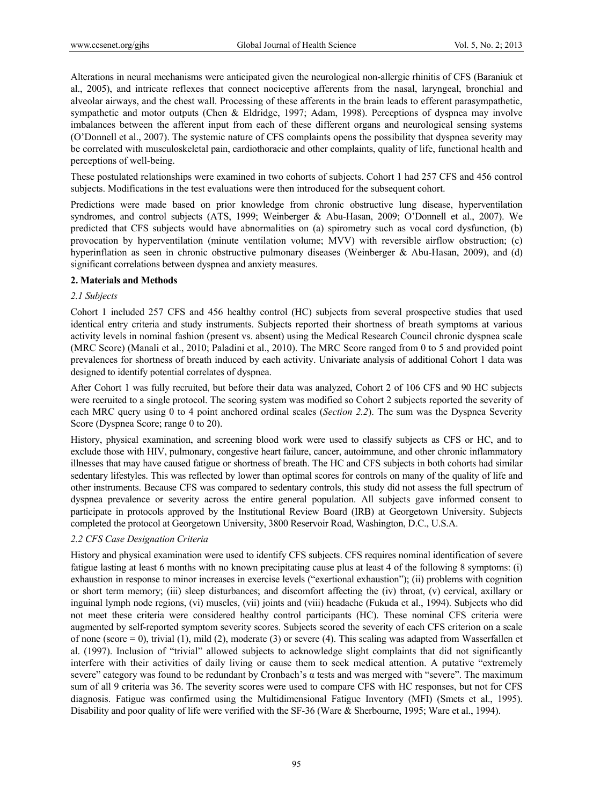Alterations in neural mechanisms were anticipated given the neurological non-allergic rhinitis of CFS (Baraniuk et al., 2005), and intricate reflexes that connect nociceptive afferents from the nasal, laryngeal, bronchial and alveolar airways, and the chest wall. Processing of these afferents in the brain leads to efferent parasympathetic, sympathetic and motor outputs (Chen & Eldridge, 1997; Adam, 1998). Perceptions of dyspnea may involve imbalances between the afferent input from each of these different organs and neurological sensing systems (O'Donnell et al., 2007). The systemic nature of CFS complaints opens the possibility that dyspnea severity may be correlated with musculoskeletal pain, cardiothoracic and other complaints, quality of life, functional health and perceptions of well-being.

These postulated relationships were examined in two cohorts of subjects. Cohort 1 had 257 CFS and 456 control subjects. Modifications in the test evaluations were then introduced for the subsequent cohort.

Predictions were made based on prior knowledge from chronic obstructive lung disease, hyperventilation syndromes, and control subjects (ATS, 1999; Weinberger & Abu-Hasan, 2009; O'Donnell et al., 2007). We predicted that CFS subjects would have abnormalities on (a) spirometry such as vocal cord dysfunction, (b) provocation by hyperventilation (minute ventilation volume; MVV) with reversible airflow obstruction; (c) hyperinflation as seen in chronic obstructive pulmonary diseases (Weinberger & Abu-Hasan, 2009), and (d) significant correlations between dyspnea and anxiety measures.

# **2. Materials and Methods**

# *2.1 Subjects*

Cohort 1 included 257 CFS and 456 healthy control (HC) subjects from several prospective studies that used identical entry criteria and study instruments. Subjects reported their shortness of breath symptoms at various activity levels in nominal fashion (present vs. absent) using the Medical Research Council chronic dyspnea scale (MRC Score) (Manali et al., 2010; Paladini et al., 2010). The MRC Score ranged from 0 to 5 and provided point prevalences for shortness of breath induced by each activity. Univariate analysis of additional Cohort 1 data was designed to identify potential correlates of dyspnea.

After Cohort 1 was fully recruited, but before their data was analyzed, Cohort 2 of 106 CFS and 90 HC subjects were recruited to a single protocol. The scoring system was modified so Cohort 2 subjects reported the severity of each MRC query using 0 to 4 point anchored ordinal scales (*Section 2.2*). The sum was the Dyspnea Severity Score (Dyspnea Score; range 0 to 20).

History, physical examination, and screening blood work were used to classify subjects as CFS or HC, and to exclude those with HIV, pulmonary, congestive heart failure, cancer, autoimmune, and other chronic inflammatory illnesses that may have caused fatigue or shortness of breath. The HC and CFS subjects in both cohorts had similar sedentary lifestyles. This was reflected by lower than optimal scores for controls on many of the quality of life and other instruments. Because CFS was compared to sedentary controls, this study did not assess the full spectrum of dyspnea prevalence or severity across the entire general population. All subjects gave informed consent to participate in protocols approved by the Institutional Review Board (IRB) at Georgetown University. Subjects completed the protocol at Georgetown University, 3800 Reservoir Road, Washington, D.C., U.S.A.

# *2.2 CFS Case Designation Criteria*

History and physical examination were used to identify CFS subjects. CFS requires nominal identification of severe fatigue lasting at least 6 months with no known precipitating cause plus at least 4 of the following 8 symptoms: (i) exhaustion in response to minor increases in exercise levels ("exertional exhaustion"); (ii) problems with cognition or short term memory; (iii) sleep disturbances; and discomfort affecting the (iv) throat, (v) cervical, axillary or inguinal lymph node regions, (vi) muscles, (vii) joints and (viii) headache (Fukuda et al., 1994). Subjects who did not meet these criteria were considered healthy control participants (HC). These nominal CFS criteria were augmented by self-reported symptom severity scores. Subjects scored the severity of each CFS criterion on a scale of none (score  $= 0$ ), trivial (1), mild (2), moderate (3) or severe (4). This scaling was adapted from Wasserfallen et al. (1997). Inclusion of "trivial" allowed subjects to acknowledge slight complaints that did not significantly interfere with their activities of daily living or cause them to seek medical attention. A putative "extremely severe" category was found to be redundant by Cronbach's  $\alpha$  tests and was merged with "severe". The maximum sum of all 9 criteria was 36. The severity scores were used to compare CFS with HC responses, but not for CFS diagnosis. Fatigue was confirmed using the Multidimensional Fatigue Inventory (MFI) (Smets et al., 1995). Disability and poor quality of life were verified with the SF-36 (Ware & Sherbourne, 1995; Ware et al., 1994).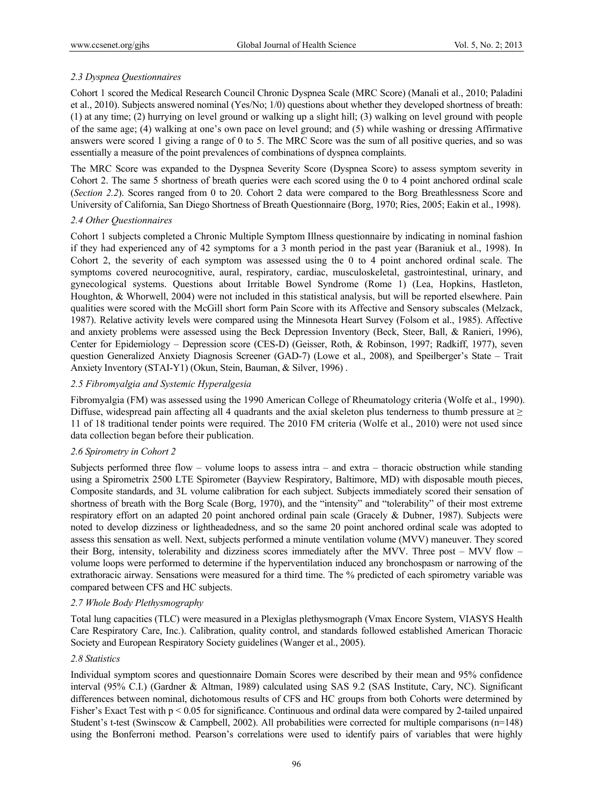# *2.3 Dyspnea Questionnaires*

Cohort 1 scored the Medical Research Council Chronic Dyspnea Scale (MRC Score) (Manali et al., 2010; Paladini et al., 2010). Subjects answered nominal (Yes/No; 1/0) questions about whether they developed shortness of breath: (1) at any time; (2) hurrying on level ground or walking up a slight hill; (3) walking on level ground with people of the same age; (4) walking at one's own pace on level ground; and (5) while washing or dressing Affirmative answers were scored 1 giving a range of 0 to 5. The MRC Score was the sum of all positive queries, and so was essentially a measure of the point prevalences of combinations of dyspnea complaints.

The MRC Score was expanded to the Dyspnea Severity Score (Dyspnea Score) to assess symptom severity in Cohort 2. The same 5 shortness of breath queries were each scored using the 0 to 4 point anchored ordinal scale (*Section 2.2*). Scores ranged from 0 to 20. Cohort 2 data were compared to the Borg Breathlessness Score and University of California, San Diego Shortness of Breath Questionnaire (Borg, 1970; Ries, 2005; Eakin et al., 1998).

# *2.4 Other Questionnaires*

Cohort 1 subjects completed a Chronic Multiple Symptom Illness questionnaire by indicating in nominal fashion if they had experienced any of 42 symptoms for a 3 month period in the past year (Baraniuk et al., 1998). In Cohort 2, the severity of each symptom was assessed using the 0 to 4 point anchored ordinal scale. The symptoms covered neurocognitive, aural, respiratory, cardiac, musculoskeletal, gastrointestinal, urinary, and gynecological systems. Questions about Irritable Bowel Syndrome (Rome 1) (Lea, Hopkins, Hastleton, Houghton, & Whorwell, 2004) were not included in this statistical analysis, but will be reported elsewhere. Pain qualities were scored with the McGill short form Pain Score with its Affective and Sensory subscales (Melzack, 1987). Relative activity levels were compared using the Minnesota Heart Survey (Folsom et al., 1985). Affective and anxiety problems were assessed using the Beck Depression Inventory (Beck, Steer, Ball, & Ranieri, 1996), Center for Epidemiology – Depression score (CES-D) (Geisser, Roth, & Robinson, 1997; Radkiff, 1977), seven question Generalized Anxiety Diagnosis Screener (GAD-7) (Lowe et al., 2008), and Speilberger's State – Trait Anxiety Inventory (STAI-Y1) (Okun, Stein, Bauman, & Silver, 1996) .

# *2.5 Fibromyalgia and Systemic Hyperalgesia*

Fibromyalgia (FM) was assessed using the 1990 American College of Rheumatology criteria (Wolfe et al., 1990). Diffuse, widespread pain affecting all 4 quadrants and the axial skeleton plus tenderness to thumb pressure at  $\geq$ 11 of 18 traditional tender points were required. The 2010 FM criteria (Wolfe et al., 2010) were not used since data collection began before their publication.

# *2.6 Spirometry in Cohort 2*

Subjects performed three flow – volume loops to assess intra – and extra – thoracic obstruction while standing using a Spirometrix 2500 LTE Spirometer (Bayview Respiratory, Baltimore, MD) with disposable mouth pieces, Composite standards, and 3L volume calibration for each subject. Subjects immediately scored their sensation of shortness of breath with the Borg Scale (Borg, 1970), and the "intensity" and "tolerability" of their most extreme respiratory effort on an adapted 20 point anchored ordinal pain scale (Gracely & Dubner, 1987). Subjects were noted to develop dizziness or lightheadedness, and so the same 20 point anchored ordinal scale was adopted to assess this sensation as well. Next, subjects performed a minute ventilation volume (MVV) maneuver. They scored their Borg, intensity, tolerability and dizziness scores immediately after the MVV. Three post – MVV flow – volume loops were performed to determine if the hyperventilation induced any bronchospasm or narrowing of the extrathoracic airway. Sensations were measured for a third time. The % predicted of each spirometry variable was compared between CFS and HC subjects.

# *2.7 Whole Body Plethysmography*

Total lung capacities (TLC) were measured in a Plexiglas plethysmograph (Vmax Encore System, VIASYS Health Care Respiratory Care, Inc.). Calibration, quality control, and standards followed established American Thoracic Society and European Respiratory Society guidelines (Wanger et al., 2005).

#### *2.8 Statistics*

Individual symptom scores and questionnaire Domain Scores were described by their mean and 95% confidence interval (95% C.I.) (Gardner & Altman, 1989) calculated using SAS 9.2 (SAS Institute, Cary, NC). Significant differences between nominal, dichotomous results of CFS and HC groups from both Cohorts were determined by Fisher's Exact Test with p < 0.05 for significance. Continuous and ordinal data were compared by 2-tailed unpaired Student's t-test (Swinscow & Campbell, 2002). All probabilities were corrected for multiple comparisons (n=148) using the Bonferroni method. Pearson's correlations were used to identify pairs of variables that were highly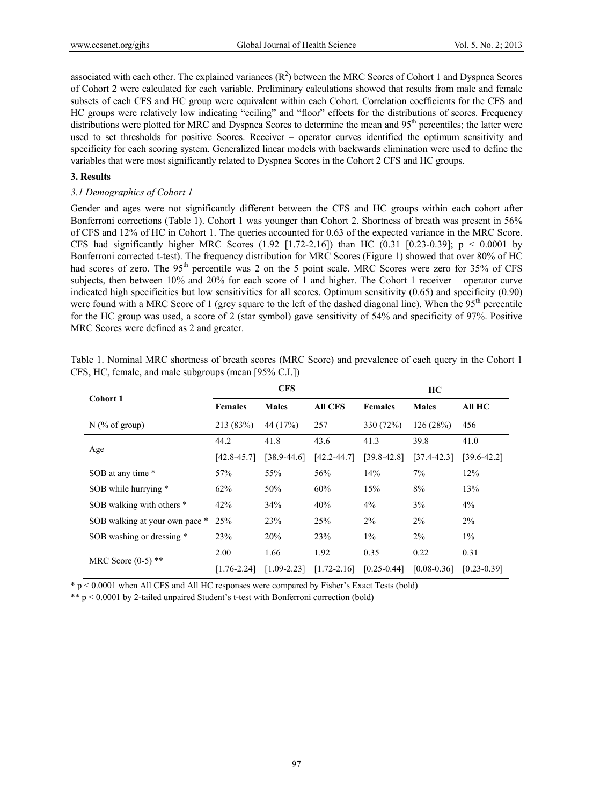associated with each other. The explained variances  $(R^2)$  between the MRC Scores of Cohort 1 and Dyspnea Scores of Cohort 2 were calculated for each variable. Preliminary calculations showed that results from male and female subsets of each CFS and HC group were equivalent within each Cohort. Correlation coefficients for the CFS and HC groups were relatively low indicating "ceiling" and "floor" effects for the distributions of scores. Frequency distributions were plotted for MRC and Dyspnea Scores to determine the mean and 95<sup>th</sup> percentiles; the latter were used to set thresholds for positive Scores. Receiver – operator curves identified the optimum sensitivity and specificity for each scoring system. Generalized linear models with backwards elimination were used to define the variables that were most significantly related to Dyspnea Scores in the Cohort 2 CFS and HC groups.

## **3. Results**

## *3.1 Demographics of Cohort 1*

Gender and ages were not significantly different between the CFS and HC groups within each cohort after Bonferroni corrections (Table 1). Cohort 1 was younger than Cohort 2. Shortness of breath was present in 56% of CFS and 12% of HC in Cohort 1. The queries accounted for 0.63 of the expected variance in the MRC Score. CFS had significantly higher MRC Scores (1.92 [1.72-2.16]) than HC (0.31 [0.23-0.39];  $p < 0.0001$  by Bonferroni corrected t-test). The frequency distribution for MRC Scores (Figure 1) showed that over 80% of HC had scores of zero. The 95<sup>th</sup> percentile was 2 on the 5 point scale. MRC Scores were zero for 35% of CFS subjects, then between 10% and 20% for each score of 1 and higher. The Cohort 1 receiver – operator curve indicated high specificities but low sensitivities for all scores. Optimum sensitivity (0.65) and specificity (0.90) were found with a MRC Score of 1 (grey square to the left of the dashed diagonal line). When the  $95<sup>th</sup>$  percentile for the HC group was used, a score of 2 (star symbol) gave sensitivity of 54% and specificity of 97%. Positive MRC Scores were defined as 2 and greater.

| Cohort 1                       |                 | <b>CFS</b>      |                 | HC              |                 |                 |  |
|--------------------------------|-----------------|-----------------|-----------------|-----------------|-----------------|-----------------|--|
|                                | <b>Females</b>  | <b>Males</b>    | <b>All CFS</b>  | <b>Females</b>  | <b>Males</b>    | All HC          |  |
| $N$ (% of group)               | 213(83%)        | 44 (17%)        | 257             | 330 (72%)       | 126(28%)        | 456             |  |
| Age                            | 44.2            | 41.8            | 43.6            | 41.3            | 39.8            | 41.0            |  |
|                                | $[42.8 - 45.7]$ | $[38.9 - 44.6]$ | $[42.2 - 44.7]$ | $[39.8 - 42.8]$ | $[37.4 - 42.3]$ | $[39.6 - 42.2]$ |  |
| SOB at any time *              | 57%             | 55%             | 56%             | 14%             | 7%              | 12%             |  |
| SOB while hurrying *           | 62%             | 50%             | 60%             | 15%             | 8%              | 13%             |  |
| SOB walking with others *      | 42%             | 34%             | 40%             | $4\%$           | 3%              | $4\%$           |  |
| SOB walking at your own pace * | 25%             | 23%             | 25%             | $2\%$           | $2\%$           | $2\%$           |  |
| SOB washing or dressing *      | 23%             | 20%             | 23%             | $1\%$           | $2\%$           | $1\%$           |  |
| MRC Score $(0-5)$ **           | 2.00            | 1.66            | 1.92            | 0.35            | 0.22            | 0.31            |  |
|                                | $[1.76 - 2.24]$ | $[1.09 - 2.23]$ | $[1.72 - 2.16]$ | $[0.25 - 0.44]$ | $[0.08 - 0.36]$ | $[0.23 - 0.39]$ |  |

Table 1. Nominal MRC shortness of breath scores (MRC Score) and prevalence of each query in the Cohort 1 CFS, HC, female, and male subgroups (mean [95% C.I.])

\* p < 0.0001 when All CFS and All HC responses were compared by Fisher's Exact Tests (bold)

\*\* p < 0.0001 by 2-tailed unpaired Student's t-test with Bonferroni correction (bold)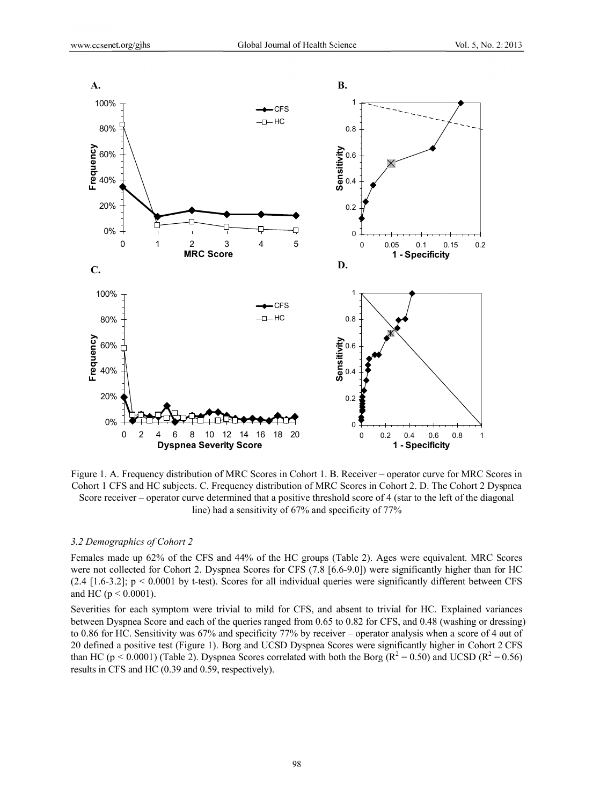

Figure 1. A. Frequency distribution of MRC Scores in Cohort 1. B. Receiver – operator curve for MRC Scores in Cohort 1 CFS and HC subjects. C. Frequency distribution of MRC Scores in Cohort 2. D. The Cohort 2 Dyspnea Score receiver – operator curve determined that a positive threshold score of 4 (star to the left of the diagonal line) had a sensitivity of 67% and specificity of 77%

#### 3.2 Demographics of Cohort 2

Females made up 62% of the CFS and 44% of the HC groups (Table 2). Ages were equivalent. MRC Scores were not collected for Cohort 2. Dyspnea Scores for CFS (7.8 [6.6-9.0]) were significantly higher than for HC  $(2.4 \, [1.6-3.2]; \, p \leq 0.0001$  by t-test). Scores for all individual queries were significantly different between CFS and HC ( $p < 0.0001$ ).

Severities for each symptom were trivial to mild for CFS, and absent to trivial for HC. Explained variances between Dyspnea Score and each of the queries ranged from 0.65 to 0.82 for CFS, and 0.48 (washing or dressing) to 0.86 for HC. Sensitivity was 67% and specificity 77% by receiver – operator analysis when a score of 4 out of 20 defined a positive test (Figure 1). Borg and UCSD Dyspnea Scores were significantly higher in Cohort 2 CFS than HC ( $p < 0.0001$ ) (Table 2). Dyspnea Scores correlated with both the Borg ( $R^2 = 0.50$ ) and UCSD ( $R^2 = 0.56$ ) results in CFS and HC (0.39 and 0.59, respectively).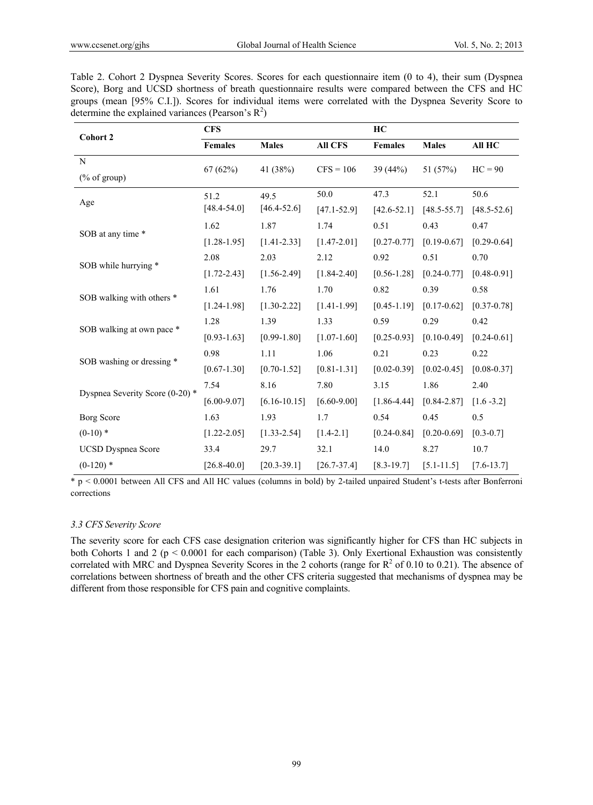Table 2. Cohort 2 Dyspnea Severity Scores. Scores for each questionnaire item (0 to 4), their sum (Dyspnea Score), Borg and UCSD shortness of breath questionnaire results were compared between the CFS and HC groups (mean [95% C.I.]). Scores for individual items were correlated with the Dyspnea Severity Score to determine the explained variances (Pearson's  $R^2$ )

| Cohort 2                                                       | <b>CFS</b>      |                  |                 | HC              |                 |                 |  |
|----------------------------------------------------------------|-----------------|------------------|-----------------|-----------------|-----------------|-----------------|--|
|                                                                | Females         | <b>Males</b>     | <b>All CFS</b>  | Females         | <b>Males</b>    | All HC          |  |
| N                                                              | 67(62%)         | 41 (38%)         | $CFS = 106$     | 39 $(44%)$      | 51 (57%)        | $HC = 90$       |  |
| $(% \mathcal{O}(\mathcal{O})\otimes \mathcal{O})$ (% of group) |                 |                  |                 |                 |                 |                 |  |
| Age                                                            | 51.2            | 49.5             | 50.0            | 47.3            | 52.1            | 50.6            |  |
|                                                                | $[48.4 - 54.0]$ | $[46.4 - 52.6]$  | $[47.1 - 52.9]$ | $[42.6 - 52.1]$ | $[48.5 - 55.7]$ | $[48.5 - 52.6]$ |  |
| SOB at any time *                                              | 1.62            | 1.87             | 1.74            | 0.51            | 0.43            | 0.47            |  |
|                                                                | $[1.28 - 1.95]$ | $[1.41 - 2.33]$  | $[1.47 - 2.01]$ | $[0.27 - 0.77]$ | $[0.19 - 0.67]$ | $[0.29 - 0.64]$ |  |
|                                                                | 2.08            | 2.03             | 2.12            | 0.92            | 0.51            | 0.70            |  |
| SOB while hurrying *                                           | $[1.72 - 2.43]$ | $[1.56 - 2.49]$  | $[1.84 - 2.40]$ | $[0.56 - 1.28]$ | $[0.24 - 0.77]$ | $[0.48 - 0.91]$ |  |
| SOB walking with others *                                      | 1.61            | 1.76             | 1.70            | 0.82            | 0.39            | 0.58            |  |
|                                                                | $[1.24 - 1.98]$ | $[1.30 - 2.22]$  | $[1.41 - 1.99]$ | $[0.45 - 1.19]$ | $[0.17 - 0.62]$ | $[0.37 - 0.78]$ |  |
|                                                                | 1.28            | 1.39             | 1.33            | 0.59            | 0.29            | 0.42            |  |
| SOB walking at own pace *                                      | $[0.93 - 1.63]$ | $[0.99 - 1.80]$  | $[1.07 - 1.60]$ | $[0.25 - 0.93]$ | $[0.10 - 0.49]$ | $[0.24 - 0.61]$ |  |
|                                                                | 0.98            | 1.11             | 1.06            | 0.21            | 0.23            | 0.22            |  |
| SOB washing or dressing *                                      | $[0.67 - 1.30]$ | $[0.70 - 1.52]$  | $[0.81 - 1.31]$ | $[0.02 - 0.39]$ | $[0.02 - 0.45]$ | $[0.08 - 0.37]$ |  |
|                                                                | 7.54            | 8.16             | 7.80            | 3.15            | 1.86            | 2.40            |  |
| Dyspnea Severity Score (0-20) *                                | $[6.00 - 9.07]$ | $[6.16 - 10.15]$ | $[6.60 - 9.00]$ | $[1.86 - 4.44]$ | $[0.84 - 2.87]$ | $[1.6 - 3.2]$   |  |
| Borg Score                                                     | 1.63            | 1.93             | 1.7             | 0.54            | 0.45            | 0.5             |  |
| $(0-10)*$                                                      | $[1.22 - 2.05]$ | $[1.33 - 2.54]$  | $[1.4 - 2.1]$   | $[0.24 - 0.84]$ | $[0.20 - 0.69]$ | $[0.3 - 0.7]$   |  |
| <b>UCSD Dyspnea Score</b>                                      | 33.4            | 29.7             | 32.1            | 14.0            | 8.27            | 10.7            |  |
| $(0-120)$ *                                                    | $[26.8 - 40.0]$ | $[20.3 - 39.1]$  | $[26.7 - 37.4]$ | $[8.3 - 19.7]$  | $[5.1 - 11.5]$  | $[7.6 - 13.7]$  |  |

\* p < 0.0001 between All CFS and All HC values (columns in bold) by 2-tailed unpaired Student's t-tests after Bonferroni corrections

#### *3.3 CFS Severity Score*

The severity score for each CFS case designation criterion was significantly higher for CFS than HC subjects in both Cohorts 1 and 2 (p < 0.0001 for each comparison) (Table 3). Only Exertional Exhaustion was consistently correlated with MRC and Dyspnea Severity Scores in the 2 cohorts (range for  $R^2$  of 0.10 to 0.21). The absence of correlations between shortness of breath and the other CFS criteria suggested that mechanisms of dyspnea may be different from those responsible for CFS pain and cognitive complaints.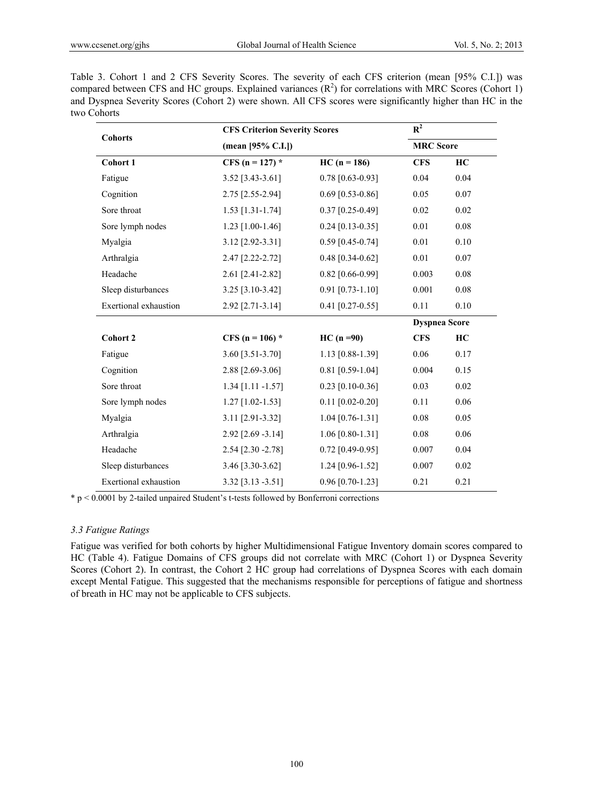Table 3. Cohort 1 and 2 CFS Severity Scores. The severity of each CFS criterion (mean [95% C.I.]) was compared between CFS and HC groups. Explained variances  $(R^2)$  for correlations with MRC Scores (Cohort 1) and Dyspnea Severity Scores (Cohort 2) were shown. All CFS scores were significantly higher than HC in the two Cohorts

| <b>Cohorts</b>        |                      | <b>CFS Criterion Severity Scores</b> |                      |          |  |  |
|-----------------------|----------------------|--------------------------------------|----------------------|----------|--|--|
|                       | (mean $[95%$ C.I.])  |                                      | <b>MRC</b> Score     |          |  |  |
| Cohort 1              | CFS (n = 127) $*$    | $HC (n = 186)$                       | <b>CFS</b>           | HC       |  |  |
| Fatigue               | 3.52 [3.43-3.61]     | $0.78$ [0.63-0.93]                   | 0.04                 | 0.04     |  |  |
| Cognition             | 2.75 [2.55-2.94]     | $0.69$ [0.53-0.86]                   | 0.05                 | 0.07     |  |  |
| Sore throat           | $1.53$ [1.31-1.74]   | $0.37$ [0.25-0.49]                   | $0.02\,$             | $0.02\,$ |  |  |
| Sore lymph nodes      | 1.23 [1.00-1.46]     | $0.24$ [0.13-0.35]                   | 0.01                 | 0.08     |  |  |
| Myalgia               | 3.12 [2.92-3.31]     | $0.59$ [0.45-0.74]                   | 0.01                 | 0.10     |  |  |
| Arthralgia            | 2.47 [2.22-2.72]     | $0.48$ [0.34-0.62]                   | 0.01                 | $0.07\,$ |  |  |
| Headache              | 2.61 [2.41-2.82]     | $0.82$ [0.66-0.99]                   | 0.003                | 0.08     |  |  |
| Sleep disturbances    | 3.25 [3.10-3.42]     | $0.91$ [0.73-1.10]                   | 0.001                | $0.08\,$ |  |  |
| Exertional exhaustion | 2.92 [2.71-3.14]     | $0.41$ [0.27-0.55]                   | 0.11                 | $0.10\,$ |  |  |
|                       |                      |                                      | <b>Dyspnea Score</b> |          |  |  |
| <b>Cohort 2</b>       | CFS ( $n = 106$ ) *  | $HC(n = 90)$                         | <b>CFS</b>           | HC       |  |  |
| Fatigue               | 3.60 [3.51-3.70]     | 1.13 [0.88-1.39]                     | 0.06                 | 0.17     |  |  |
| Cognition             | 2.88 [2.69-3.06]     | $0.81$ [0.59-1.04]                   | 0.004                | 0.15     |  |  |
| Sore throat           | $1.34$ [1.11 -1.57]  | $0.23$ [0.10-0.36]                   | 0.03                 | $0.02\,$ |  |  |
| Sore lymph nodes      | $1.27$ [1.02-1.53]   | $0.11$ [0.02-0.20]                   | 0.11                 | 0.06     |  |  |
| Myalgia               | 3.11 [2.91-3.32]     | $1.04$ [0.76-1.31]                   | $0.08\,$             | 0.05     |  |  |
| Arthralgia            | $2.92$ [2.69 -3.14]  | $1.06$ [0.80-1.31]                   | 0.08                 | 0.06     |  |  |
| Headache              | $2.54$ [2.30 - 2.78] | $0.72$ [0.49-0.95]                   | 0.007                | 0.04     |  |  |
| Sleep disturbances    | 3.46 [3.30-3.62]     | 1.24 [0.96-1.52]                     | 0.007                | 0.02     |  |  |
| Exertional exhaustion | 3.32 [3.13 -3.51]    | $0.96$ [0.70-1.23]                   | 0.21                 | 0.21     |  |  |

\* p < 0.0001 by 2-tailed unpaired Student's t-tests followed by Bonferroni corrections

## *3.3 Fatigue Ratings*

Fatigue was verified for both cohorts by higher Multidimensional Fatigue Inventory domain scores compared to HC (Table 4). Fatigue Domains of CFS groups did not correlate with MRC (Cohort 1) or Dyspnea Severity Scores (Cohort 2). In contrast, the Cohort 2 HC group had correlations of Dyspnea Scores with each domain except Mental Fatigue. This suggested that the mechanisms responsible for perceptions of fatigue and shortness of breath in HC may not be applicable to CFS subjects.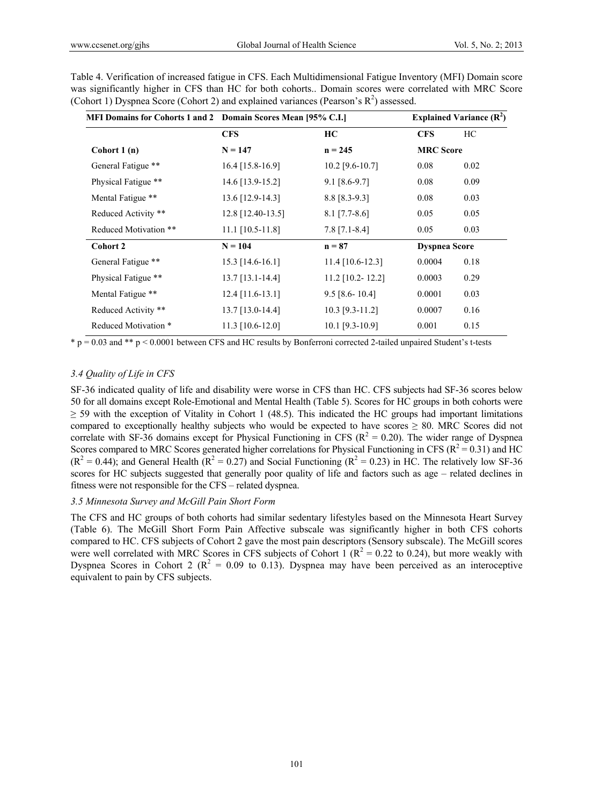| MFI Domains for Cohorts 1 and 2 Domain Scores Mean [95% C.I.] |                     |                    |                      |      |
|---------------------------------------------------------------|---------------------|--------------------|----------------------|------|
|                                                               | <b>CFS</b>          | HC                 | <b>CFS</b>           | HC   |
| Cohort $1(n)$                                                 | $N = 147$           | $n = 245$          | <b>MRC</b> Score     |      |
| General Fatigue **                                            | $16.4$ [15.8-16.9]  | $10.2$ [9.6-10.7]  | 0.08                 | 0.02 |
| Physical Fatigue **                                           | 14.6 [13.9-15.2]    | $9.1$ [8.6-9.7]    | 0.08                 | 0.09 |
| Mental Fatigue **                                             | $13.6$ [12.9-14.3]  | $8.8$ [8.3-9.3]    | 0.08                 | 0.03 |
| Reduced Activity **                                           | $12.8$ [12.40-13.5] | $8.1$ [7.7-8.6]    | 0.05                 | 0.05 |
| Reduced Motivation **                                         | $11.1$ [10.5-11.8]  | $7.8$ [7.1-8.4]    | 0.05                 | 0.03 |
| Cohort 2                                                      | $N = 104$           | $n = 87$           | <b>Dyspnea Score</b> |      |
| General Fatigue **                                            | 15.3 [14.6-16.1]    | $11.4$ [10.6-12.3] | 0.0004               | 0.18 |
| Physical Fatigue **                                           | $13.7$ [13.1-14.4]  | $11.2$ [10.2-12.2] | 0.0003               | 0.29 |
| Mental Fatigue **                                             | $12.4$ [11.6-13.1]  | $9.5$ [8.6-10.4]   | 0.0001               | 0.03 |
| Reduced Activity **                                           | $13.7$ [13.0-14.4]  | $10.3$ [9.3-11.2]  | 0.0007               | 0.16 |
| Reduced Motivation *                                          | $11.3$ [10.6-12.0]  | $10.1$ [9.3-10.9]  | 0.001                | 0.15 |

Table 4. Verification of increased fatigue in CFS. Each Multidimensional Fatigue Inventory (MFI) Domain score was significantly higher in CFS than HC for both cohorts.. Domain scores were correlated with MRC Score (Cohort 1) Dyspnea Score (Cohort 2) and explained variances (Pearson's  $R^2$ ) assessed.

\* p = 0.03 and \*\* p < 0.0001 between CFS and HC results by Bonferroni corrected 2-tailed unpaired Student's t-tests

# *3.4 Quality of Life in CFS*

SF-36 indicated quality of life and disability were worse in CFS than HC. CFS subjects had SF-36 scores below 50 for all domains except Role-Emotional and Mental Health (Table 5). Scores for HC groups in both cohorts were  $\geq$  59 with the exception of Vitality in Cohort 1 (48.5). This indicated the HC groups had important limitations compared to exceptionally healthy subjects who would be expected to have scores  $\geq 80$ . MRC Scores did not correlate with SF-36 domains except for Physical Functioning in CFS ( $R^2 = 0.20$ ). The wider range of Dyspnea Scores compared to MRC Scores generated higher correlations for Physical Functioning in CFS ( $R^2 = 0.31$ ) and HC  $(R^2 = 0.44)$ ; and General Health  $(R^2 = 0.27)$  and Social Functioning  $(R^2 = 0.23)$  in HC. The relatively low SF-36 scores for HC subjects suggested that generally poor quality of life and factors such as age – related declines in fitness were not responsible for the CFS – related dyspnea.

# *3.5 Minnesota Survey and McGill Pain Short Form*

The CFS and HC groups of both cohorts had similar sedentary lifestyles based on the Minnesota Heart Survey (Table 6). The McGill Short Form Pain Affective subscale was significantly higher in both CFS cohorts compared to HC. CFS subjects of Cohort 2 gave the most pain descriptors (Sensory subscale). The McGill scores were well correlated with MRC Scores in CFS subjects of Cohort 1 ( $R^2$  = 0.22 to 0.24), but more weakly with Dyspnea Scores in Cohort 2 ( $R^2 = 0.09$  to 0.13). Dyspnea may have been perceived as an interoceptive equivalent to pain by CFS subjects.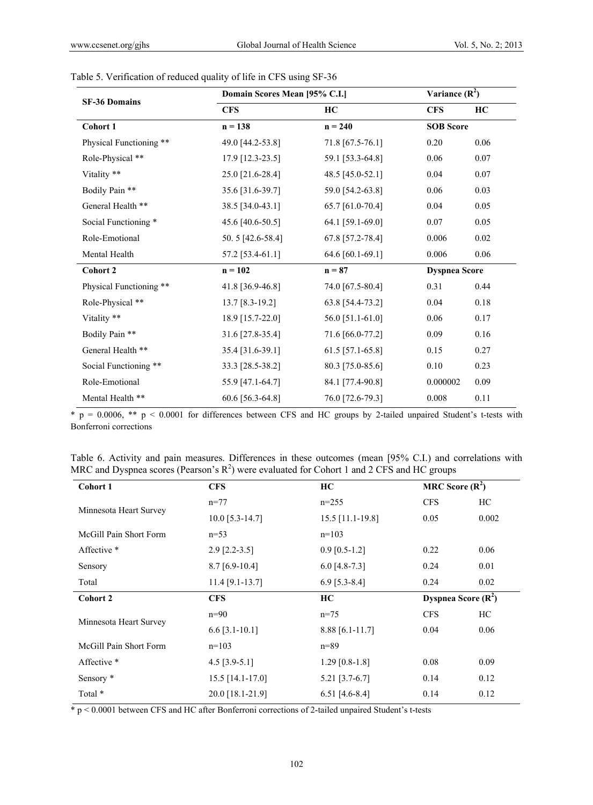|                         | Domain Scores Mean [95% C.I.] | Variance $(R^2)$ |                      |      |
|-------------------------|-------------------------------|------------------|----------------------|------|
| <b>SF-36 Domains</b>    | <b>CFS</b>                    | HC               | <b>CFS</b>           | HC   |
| Cohort 1                | $n = 138$                     | $n = 240$        | <b>SOB Score</b>     |      |
| Physical Functioning ** | 49.0 [44.2-53.8]              | 71.8 [67.5-76.1] | 0.20                 | 0.06 |
| Role-Physical **        | 17.9 [12.3-23.5]              | 59.1 [53.3-64.8] | 0.06                 | 0.07 |
| Vitality **             | 25.0 [21.6-28.4]              | 48.5 [45.0-52.1] | 0.04                 | 0.07 |
| Bodily Pain **          | 35.6 [31.6-39.7]              | 59.0 [54.2-63.8] | 0.06                 | 0.03 |
| General Health **       | 38.5 [34.0-43.1]              | 65.7 [61.0-70.4] | 0.04                 | 0.05 |
| Social Functioning *    | 45.6 [40.6-50.5]              | 64.1 [59.1-69.0] | 0.07                 | 0.05 |
| Role-Emotional          | 50.5 [42.6-58.4]              | 67.8 [57.2-78.4] | 0.006                | 0.02 |
| Mental Health           | 57.2 [53.4-61.1]              | 64.6 [60.1-69.1] | 0.006                | 0.06 |
| <b>Cohort 2</b>         | $n = 102$                     | $n = 87$         | <b>Dyspnea Score</b> |      |
| Physical Functioning ** | 41.8 [36.9-46.8]              | 74.0 [67.5-80.4] | 0.31                 | 0.44 |
| Role-Physical **        | 13.7 [8.3-19.2]               | 63.8 [54.4-73.2] | 0.04                 | 0.18 |
| Vitality **             | 18.9 [15.7-22.0]              | 56.0 [51.1-61.0] | 0.06                 | 0.17 |
| Bodily Pain **          | 31.6 [27.8-35.4]              | 71.6 [66.0-77.2] | 0.09                 | 0.16 |
| General Health **       | 35.4 [31.6-39.1]              | 61.5 [57.1-65.8] | 0.15                 | 0.27 |
| Social Functioning **   | 33.3 [28.5-38.2]              | 80.3 [75.0-85.6] | 0.10                 | 0.23 |
| Role-Emotional          | 55.9 [47.1-64.7]              | 84.1 [77.4-90.8] | 0.000002             | 0.09 |
| Mental Health **        | 60.6 [56.3-64.8]              | 76.0 [72.6-79.3] | 0.008                | 0.11 |

|  |  | Table 5. Verification of reduced quality of life in CFS using SF-36 |
|--|--|---------------------------------------------------------------------|
|  |  |                                                                     |

 $*\overline{p} = 0.0006$ ,  $**$   $p < 0.0001$  for differences between CFS and HC groups by 2-tailed unpaired Student's t-tests with Bonferroni corrections

|  |  |  |  |                                                                                               |  |  | Table 6. Activity and pain measures. Differences in these outcomes (mean [95% C.I.) and correlations with |  |
|--|--|--|--|-----------------------------------------------------------------------------------------------|--|--|-----------------------------------------------------------------------------------------------------------|--|
|  |  |  |  | MRC and Dyspnea scores (Pearson's $R^2$ ) were evaluated for Cohort 1 and 2 CFS and HC groups |  |  |                                                                                                           |  |

| Cohort 1               | <b>CFS</b>         | HC                 | MRC Score $(R^2)$     |       |
|------------------------|--------------------|--------------------|-----------------------|-------|
| Minnesota Heart Survey | $n=77$             | $n=255$            | <b>CFS</b>            | HC    |
|                        | $10.0$ [5.3-14.7]  | $15.5$ [11.1-19.8] | 0.05                  | 0.002 |
| McGill Pain Short Form | $n=53$             | $n=103$            |                       |       |
| Affective *            | $2.9$ [2.2-3.5]    | $0.9$ [0.5-1.2]    | 0.22                  | 0.06  |
| Sensory                | $8.7$ [6.9-10.4]   | $6.0$ [4.8-7.3]    | 0.24                  | 0.01  |
| Total                  | $11.4$ [9.1-13.7]  | $6.9$ [5.3-8.4]    | 0.24                  | 0.02  |
| Cohort 2               | <b>CFS</b>         | HC                 | Dyspnea Score $(R^2)$ |       |
|                        |                    |                    |                       |       |
|                        | $n=90$             | $n=75$             | <b>CFS</b>            | HC    |
| Minnesota Heart Survey | $6.6$ [3.1-10.1]   | $8.88$ [6.1-11.7]  | 0.04                  | 0.06  |
| McGill Pain Short Form | $n=103$            | $n = 89$           |                       |       |
| Affective *            | $4.5$ [3.9-5.1]    | $1.29$ [0.8-1.8]   | 0.08                  | 0.09  |
| Sensory *              | $15.5$ [14.1-17.0] | $5.21$ [3.7-6.7]   | 0.14                  | 0.12  |

 $*$  p < 0.0001 between CFS and HC after Bonferroni corrections of 2-tailed unpaired Student's t-tests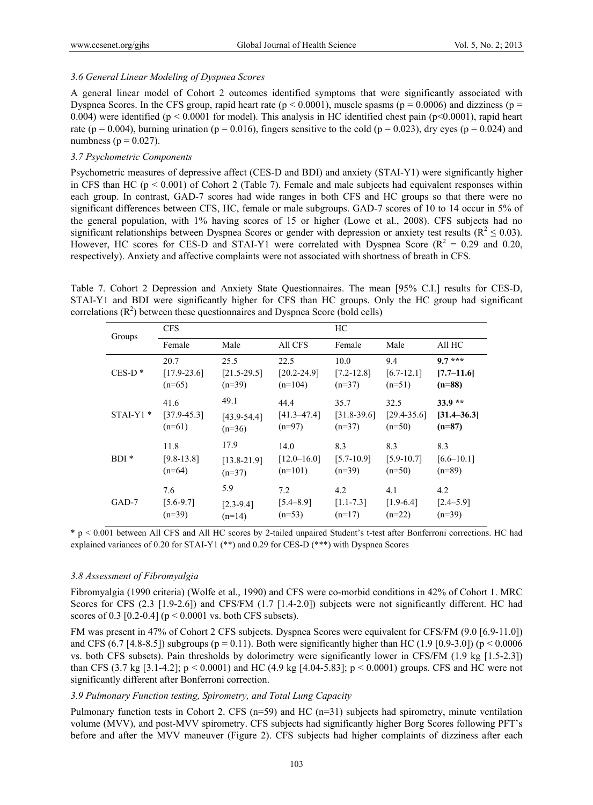## *3.6 General Linear Modeling of Dyspnea Scores*

A general linear model of Cohort 2 outcomes identified symptoms that were significantly associated with Dyspnea Scores. In the CFS group, rapid heart rate ( $p < 0.0001$ ), muscle spasms ( $p = 0.0006$ ) and dizziness ( $p =$ 0.004) were identified ( $p < 0.0001$  for model). This analysis in HC identified chest pain ( $p < 0.0001$ ), rapid heart rate ( $p = 0.004$ ), burning urination ( $p = 0.016$ ), fingers sensitive to the cold ( $p = 0.023$ ), dry eyes ( $p = 0.024$ ) and numbness ( $p = 0.027$ ).

## *3.7 Psychometric Components*

Psychometric measures of depressive affect (CES-D and BDI) and anxiety (STAI-Y1) were significantly higher in CFS than HC ( $p < 0.001$ ) of Cohort 2 (Table 7). Female and male subjects had equivalent responses within each group. In contrast, GAD-7 scores had wide ranges in both CFS and HC groups so that there were no significant differences between CFS, HC, female or male subgroups. GAD-7 scores of 10 to 14 occur in 5% of the general population, with 1% having scores of 15 or higher (Lowe et al., 2008). CFS subjects had no significant relationships between Dyspnea Scores or gender with depression or anxiety test results ( $R^2 \le 0.03$ ). However, HC scores for CES-D and STAI-Y1 were correlated with Dyspnea Score ( $R^2 = 0.29$  and 0.20, respectively). Anxiety and affective complaints were not associated with shortness of breath in CFS.

Table 7. Cohort 2 Depression and Anxiety State Questionnaires. The mean [95% C.I.] results for CES-D, STAI-Y1 and BDI were significantly higher for CFS than HC groups. Only the HC group had significant correlations  $(R^2)$  between these questionnaires and Dyspnea Score (bold cells)

| Groups     | <b>CFS</b>      |                 |                 | HС              |                 |                 |  |
|------------|-----------------|-----------------|-----------------|-----------------|-----------------|-----------------|--|
|            | Female          | Male            | All CFS         | Female          | Male            | All HC          |  |
| $CES-D*$   | 20.7            | 25.5            | 22.5            | 10.0            | 9.4             | $9.7***$        |  |
|            | $[17.9 - 23.6]$ | $[21.5 - 29.5]$ | $[20.2 - 24.9]$ | $[7.2 - 12.8]$  | $[6.7-12.1]$    | $[7.7-11.6]$    |  |
|            | $(n=65)$        | $(n=39)$        | $(n=104)$       | $(n=37)$        | $(n=51)$        | $(n=88)$        |  |
| $STAI-Y1*$ | 41.6            | 49.1            | 44.4            | 35.7            | 32.5            | $33.9**$        |  |
|            | $[37.9 - 45.3]$ | $[43.9 - 54.4]$ | $[41.3 - 47.4]$ | $[31.8 - 39.6]$ | $[29.4 - 35.6]$ | $[31.4 - 36.3]$ |  |
|            | $(n=61)$        | $(n=36)$        | $(n=97)$        | $(n=37)$        | $(n=50)$        | $(n=87)$        |  |
| $BDI*$     | 11.8            | 17.9            | 14.0            | 8.3             | 8.3             | 8.3             |  |
|            | $[9.8 - 13.8]$  | $[13.8 - 21.9]$ | $[12.0 - 16.0]$ | $[5.7-10.9]$    | $[5.9 - 10.7]$  | $[6.6 - 10.1]$  |  |
|            | $(n=64)$        | $(n=37)$        | $(n=101)$       | $(n=39)$        | $(n=50)$        | $(n=89)$        |  |
| GAD-7      | 7.6             | 5.9             | 7.2             | 4.2             | 4.1             | 4.2             |  |
|            | $[5.6 - 9.7]$   | $[2.3 - 9.4]$   | $[5.4 - 8.9]$   | $[1.1 - 7.3]$   | $[1.9-6.4]$     | $[2.4 - 5.9]$   |  |
|            | $(n=39)$        | $(n=14)$        | $(n=53)$        | $(n=17)$        | $(n=22)$        | $(n=39)$        |  |

\* p < 0.001 between All CFS and All HC scores by 2-tailed unpaired Student's t-test after Bonferroni corrections. HC had explained variances of 0.20 for STAI-Y1 (\*\*) and 0.29 for CES-D (\*\*\*) with Dyspnea Scores

#### *3.8 Assessment of Fibromyalgia*

Fibromyalgia (1990 criteria) (Wolfe et al., 1990) and CFS were co-morbid conditions in 42% of Cohort 1. MRC Scores for CFS (2.3 [1.9-2.6]) and CFS/FM (1.7 [1.4-2.0]) subjects were not significantly different. HC had scores of 0.3 [0.2-0.4] ( $p < 0.0001$  vs. both CFS subsets).

FM was present in 47% of Cohort 2 CFS subjects. Dyspnea Scores were equivalent for CFS/FM (9.0 [6.9-11.0]) and CFS (6.7 [4.8-8.5]) subgroups (p = 0.11). Both were significantly higher than HC (1.9 [0.9-3.0]) (p < 0.0006 vs. both CFS subsets). Pain thresholds by dolorimetry were significantly lower in CFS/FM (1.9 kg [1.5-2.3]) than CFS (3.7 kg [3.1-4.2]; p < 0.0001) and HC (4.9 kg [4.04-5.83]; p < 0.0001) groups. CFS and HC were not significantly different after Bonferroni correction.

## *3.9 Pulmonary Function testing, Spirometry, and Total Lung Capacity*

Pulmonary function tests in Cohort 2. CFS ( $n=59$ ) and HC ( $n=31$ ) subjects had spirometry, minute ventilation volume (MVV), and post-MVV spirometry. CFS subjects had significantly higher Borg Scores following PFT's before and after the MVV maneuver (Figure 2). CFS subjects had higher complaints of dizziness after each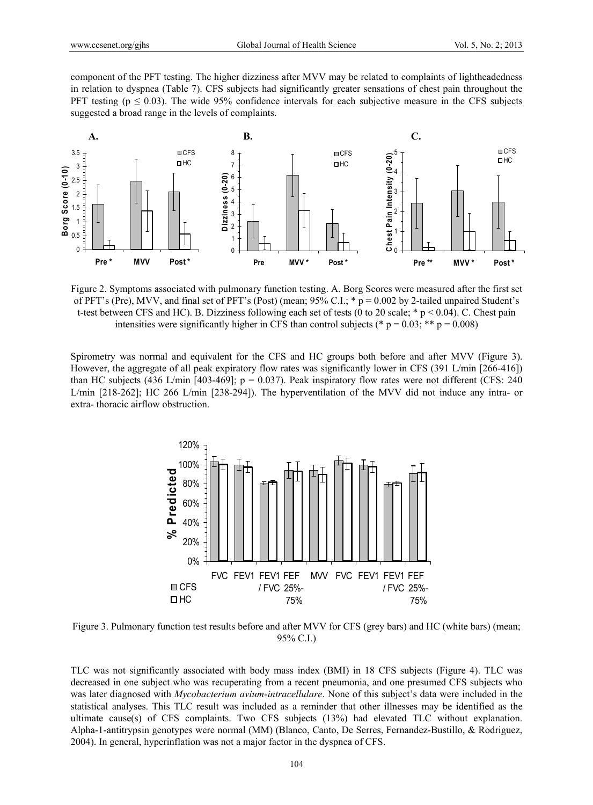component of the PFT testing. The higher dizziness after MVV may be related to complaints of lightheadedness in relation to dyspnea (Table 7). CFS subjects had significantly greater sensations of chest pain throughout the PFT testing ( $p \le 0.03$ ). The wide 95% confidence intervals for each subjective measure in the CFS subjects suggested a broad range in the levels of complaints.



Figure 2. Symptoms associated with pulmonary function testing. A. Borg Scores were measured after the first set of PFT's (Pre), MVV, and final set of PFT's (Post) (mean; 95% C.I.; \* p = 0.002 by 2-tailed unpaired Student's t-test between CFS and HC). B. Dizziness following each set of tests (0 to 20 scale;  $*$  p < 0.04). C. Chest pain intensities were significantly higher in CFS than control subjects (\*  $p = 0.03$ ; \*\*  $p = 0.008$ )

Spirometry was normal and equivalent for the CFS and HC groups both before and after MVV (Figure 3). However, the aggregate of all peak expiratory flow rates was significantly lower in CFS (391 L/min [266-416]) than HC subjects (436 L/min [403-469];  $p = 0.037$ ). Peak inspiratory flow rates were not different (CFS: 240 L/min [218-262]; HC 266 L/min [238-294]). The hyperventilation of the MVV did not induce any intra- or extra- thoracic airflow obstruction.



Figure 3. Pulmonary function test results before and after MVV for CFS (grey bars) and HC (white bars) (mean; 95% C.I.)

TLC was not significantly associated with body mass index (BMI) in 18 CFS subjects (Figure 4). TLC was decreased in one subject who was recuperating from a recent pneumonia, and one presumed CFS subjects who was later diagnosed with *Mycobacterium avium-intracellulare*. None of this subject's data were included in the statistical analyses. This TLC result was included as a reminder that other illnesses may be identified as the ultimate cause(s) of CFS complaints. Two CFS subjects (13%) had elevated TLC without explanation. Alpha-1-antitrypsin genotypes were normal (MM) (Blanco, Canto, De Serres, Fernandez-Bustillo, & Rodriguez, 2004). In general, hyperinflation was not a major factor in the dyspnea of CFS.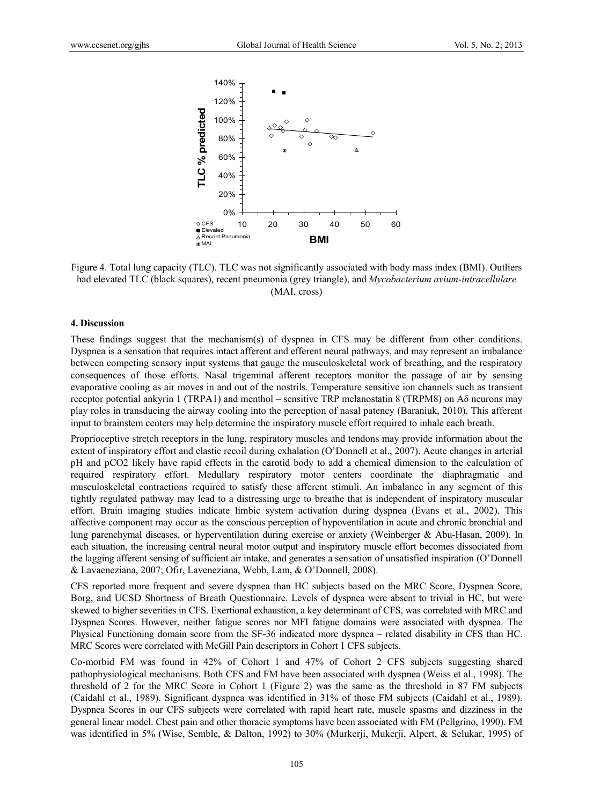

Figure 4. Total lung capacity (TLC). TLC was not significantly associated with body mass index (BMI). Outliers had elevated TLC (black squares), recent pneumonia (grey triangle), and *Mycobacterium avium-intracellulare* (MAI, cross)

#### **4. Discussion**

These findings suggest that the mechanism(s) of dyspnea in CFS may be different from other conditions. Dyspnea is a sensation that requires intact afferent and efferent neural pathways, and may represent an imbalance between competing sensory input systems that gauge the musculoskeletal work of breathing, and the respiratory consequences of those efforts. Nasal trigeminal afferent receptors monitor the passage of air by sensing evaporative cooling as air moves in and out of the nostrils. Temperature sensitive ion channels such as transient receptor potential ankyrin 1 (TRPA1) and menthol – sensitive TRP melanostatin 8 (TRPM8) on Aδ neurons may play roles in transducing the airway cooling into the perception of nasal patency (Baraniuk, 2010). This afferent input to brainstem centers may help determine the inspiratory muscle effort required to inhale each breath.

Proprioceptive stretch receptors in the lung, respiratory muscles and tendons may provide information about the extent of inspiratory effort and elastic recoil during exhalation (O'Donnell et al., 2007). Acute changes in arterial pH and pCO2 likely have rapid effects in the carotid body to add a chemical dimension to the calculation of required respiratory effort. Medullary respiratory motor centers coordinate the diaphragmatic and musculoskeletal contractions required to satisfy these afferent stimuli. An imbalance in any segment of this tightly regulated pathway may lead to a distressing urge to breathe that is independent of inspiratory muscular effort. Brain imaging studies indicate limbic system activation during dyspnea (Evans et al., 2002). This affective component may occur as the conscious perception of hypoventilation in acute and chronic bronchial and lung parenchymal diseases, or hyperventilation during exercise or anxiety (Weinberger & Abu-Hasan, 2009). In each situation, the increasing central neural motor output and inspiratory muscle effort becomes dissociated from the lagging afferent sensing of sufficient air intake, and generates a sensation of unsatisfied inspiration (O'Donnell & Lavaeneziana, 2007; Ofir, Laveneziana, Webb, Lam, & O'Donnell, 2008).

CFS reported more frequent and severe dyspnea than HC subjects based on the MRC Score, Dyspnea Score, Borg, and UCSD Shortness of Breath Questionnaire. Levels of dyspnea were absent to trivial in HC, but were skewed to higher severities in CFS. Exertional exhaustion, a key determinant of CFS, was correlated with MRC and Dyspnea Scores. However, neither fatigue scores nor MFI fatigue domains were associated with dyspnea. The Physical Functioning domain score from the SF-36 indicated more dyspnea – related disability in CFS than HC. MRC Scores were correlated with McGill Pain descriptors in Cohort 1 CFS subjects.

Co-morbid FM was found in 42% of Cohort 1 and 47% of Cohort 2 CFS subjects suggesting shared pathophysiological mechanisms. Both CFS and FM have been associated with dyspnea (Weiss et al., 1998). The threshold of 2 for the MRC Score in Cohort 1 (Figure 2) was the same as the threshold in 87 FM subjects (Caidahl et al., 1989). Significant dyspnea was identified in 31% of those FM subjects (Caidahl et al., 1989). Dyspnea Scores in our CFS subjects were correlated with rapid heart rate, muscle spasms and dizziness in the general linear model. Chest pain and other thoracic symptoms have been associated with FM (Pellgrino, 1990). FM was identified in 5% (Wise, Semble, & Dalton, 1992) to 30% (Murkerji, Mukerji, Alpert, & Selukar, 1995) of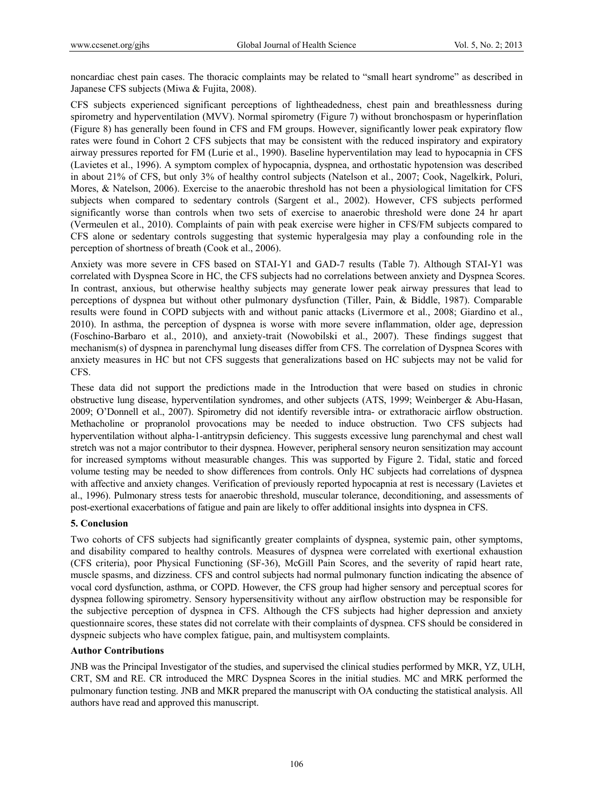noncardiac chest pain cases. The thoracic complaints may be related to "small heart syndrome" as described in Japanese CFS subjects (Miwa & Fujita, 2008).

CFS subjects experienced significant perceptions of lightheadedness, chest pain and breathlessness during spirometry and hyperventilation (MVV). Normal spirometry (Figure 7) without bronchospasm or hyperinflation (Figure 8) has generally been found in CFS and FM groups. However, significantly lower peak expiratory flow rates were found in Cohort 2 CFS subjects that may be consistent with the reduced inspiratory and expiratory airway pressures reported for FM (Lurie et al., 1990). Baseline hyperventilation may lead to hypocapnia in CFS (Lavietes et al., 1996). A symptom complex of hypocapnia, dyspnea, and orthostatic hypotension was described in about 21% of CFS, but only 3% of healthy control subjects (Natelson et al., 2007; Cook, Nagelkirk, Poluri, Mores, & Natelson, 2006). Exercise to the anaerobic threshold has not been a physiological limitation for CFS subjects when compared to sedentary controls (Sargent et al., 2002). However, CFS subjects performed significantly worse than controls when two sets of exercise to anaerobic threshold were done 24 hr apart (Vermeulen et al., 2010). Complaints of pain with peak exercise were higher in CFS/FM subjects compared to CFS alone or sedentary controls suggesting that systemic hyperalgesia may play a confounding role in the perception of shortness of breath (Cook et al., 2006).

Anxiety was more severe in CFS based on STAI-Y1 and GAD-7 results (Table 7). Although STAI-Y1 was correlated with Dyspnea Score in HC, the CFS subjects had no correlations between anxiety and Dyspnea Scores. In contrast, anxious, but otherwise healthy subjects may generate lower peak airway pressures that lead to perceptions of dyspnea but without other pulmonary dysfunction (Tiller, Pain, & Biddle, 1987). Comparable results were found in COPD subjects with and without panic attacks (Livermore et al., 2008; Giardino et al., 2010). In asthma, the perception of dyspnea is worse with more severe inflammation, older age, depression (Foschino-Barbaro et al., 2010), and anxiety-trait (Nowobilski et al., 2007). These findings suggest that mechanism(s) of dyspnea in parenchymal lung diseases differ from CFS. The correlation of Dyspnea Scores with anxiety measures in HC but not CFS suggests that generalizations based on HC subjects may not be valid for CFS.

These data did not support the predictions made in the Introduction that were based on studies in chronic obstructive lung disease, hyperventilation syndromes, and other subjects (ATS, 1999; Weinberger & Abu-Hasan, 2009; O'Donnell et al., 2007). Spirometry did not identify reversible intra- or extrathoracic airflow obstruction. Methacholine or propranolol provocations may be needed to induce obstruction. Two CFS subjects had hyperventilation without alpha-1-antitrypsin deficiency. This suggests excessive lung parenchymal and chest wall stretch was not a major contributor to their dyspnea. However, peripheral sensory neuron sensitization may account for increased symptoms without measurable changes. This was supported by Figure 2. Tidal, static and forced volume testing may be needed to show differences from controls. Only HC subjects had correlations of dyspnea with affective and anxiety changes. Verification of previously reported hypocapnia at rest is necessary (Lavietes et al., 1996). Pulmonary stress tests for anaerobic threshold, muscular tolerance, deconditioning, and assessments of post-exertional exacerbations of fatigue and pain are likely to offer additional insights into dyspnea in CFS.

# **5. Conclusion**

Two cohorts of CFS subjects had significantly greater complaints of dyspnea, systemic pain, other symptoms, and disability compared to healthy controls. Measures of dyspnea were correlated with exertional exhaustion (CFS criteria), poor Physical Functioning (SF-36), McGill Pain Scores, and the severity of rapid heart rate, muscle spasms, and dizziness. CFS and control subjects had normal pulmonary function indicating the absence of vocal cord dysfunction, asthma, or COPD. However, the CFS group had higher sensory and perceptual scores for dyspnea following spirometry. Sensory hypersensitivity without any airflow obstruction may be responsible for the subjective perception of dyspnea in CFS. Although the CFS subjects had higher depression and anxiety questionnaire scores, these states did not correlate with their complaints of dyspnea. CFS should be considered in dyspneic subjects who have complex fatigue, pain, and multisystem complaints.

# **Author Contributions**

JNB was the Principal Investigator of the studies, and supervised the clinical studies performed by MKR, YZ, ULH, CRT, SM and RE. CR introduced the MRC Dyspnea Scores in the initial studies. MC and MRK performed the pulmonary function testing. JNB and MKR prepared the manuscript with OA conducting the statistical analysis. All authors have read and approved this manuscript.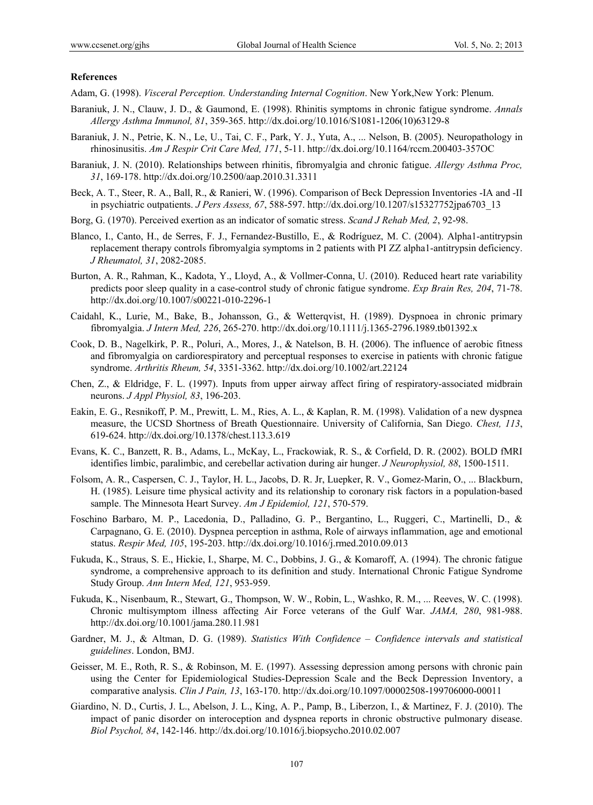## **References**

Adam, G. (1998). *Visceral Perception. Understanding Internal Cognition*. New York,New York: Plenum.

- Baraniuk, J. N., Clauw, J. D., & Gaumond, E. (1998). Rhinitis symptoms in chronic fatigue syndrome. *Annals Allergy Asthma Immunol, 81*, 359-365. http://dx.doi.org/10.1016/S1081-1206(10)63129-8
- Baraniuk, J. N., Petrie, K. N., Le, U., Tai, C. F., Park, Y. J., Yuta, A., ... Nelson, B. (2005). Neuropathology in rhinosinusitis. *Am J Respir Crit Care Med, 171*, 5-11. http://dx.doi.org/10.1164/rccm.200403-357OC
- Baraniuk, J. N. (2010). Relationships between rhinitis, fibromyalgia and chronic fatigue. *Allergy Asthma Proc, 31*, 169-178. http://dx.doi.org/10.2500/aap.2010.31.3311
- Beck, A. T., Steer, R. A., Ball, R., & Ranieri, W. (1996). Comparison of Beck Depression Inventories -IA and -II in psychiatric outpatients. *J Pers Assess, 67*, 588-597. http://dx.doi.org/10.1207/s15327752jpa6703\_13
- Borg, G. (1970). Perceived exertion as an indicator of somatic stress. *Scand J Rehab Med, 2*, 92-98.
- Blanco, I., Canto, H., de Serres, F. J., Fernandez-Bustillo, E., & Rodríguez, M. C. (2004). Alpha1-antitrypsin replacement therapy controls fibromyalgia symptoms in 2 patients with PI ZZ alpha1-antitrypsin deficiency. *J Rheumatol, 31*, 2082-2085.
- Burton, A. R., Rahman, K., Kadota, Y., Lloyd, A., & Vollmer-Conna, U. (2010). Reduced heart rate variability predicts poor sleep quality in a case-control study of chronic fatigue syndrome. *Exp Brain Res, 204*, 71-78. http://dx.doi.org/10.1007/s00221-010-2296-1
- Caidahl, K., Lurie, M., Bake, B., Johansson, G., & Wetterqvist, H. (1989). Dyspnoea in chronic primary fibromyalgia. *J Intern Med, 226*, 265-270. http://dx.doi.org/10.1111/j.1365-2796.1989.tb01392.x
- Cook, D. B., Nagelkirk, P. R., Poluri, A., Mores, J., & Natelson, B. H. (2006). The influence of aerobic fitness and fibromyalgia on cardiorespiratory and perceptual responses to exercise in patients with chronic fatigue syndrome. *Arthritis Rheum, 54*, 3351-3362. http://dx.doi.org/10.1002/art.22124
- Chen, Z., & Eldridge, F. L. (1997). Inputs from upper airway affect firing of respiratory-associated midbrain neurons. *J Appl Physiol, 83*, 196-203.
- Eakin, E. G., Resnikoff, P. M., Prewitt, L. M., Ries, A. L., & Kaplan, R. M. (1998). Validation of a new dyspnea measure, the UCSD Shortness of Breath Questionnaire. University of California, San Diego. *Chest, 113*, 619-624. http://dx.doi.org/10.1378/chest.113.3.619
- Evans, K. C., Banzett, R. B., Adams, L., McKay, L., Frackowiak, R. S., & Corfield, D. R. (2002). BOLD fMRI identifies limbic, paralimbic, and cerebellar activation during air hunger. *J Neurophysiol, 88*, 1500-1511.
- Folsom, A. R., Caspersen, C. J., Taylor, H. L., Jacobs, D. R. Jr, Luepker, R. V., Gomez-Marin, O., ... Blackburn, H. (1985). Leisure time physical activity and its relationship to coronary risk factors in a population-based sample. The Minnesota Heart Survey. *Am J Epidemiol, 121*, 570-579.
- Foschino Barbaro, M. P., Lacedonia, D., Palladino, G. P., Bergantino, L., Ruggeri, C., Martinelli, D., & Carpagnano, G. E. (2010). Dyspnea perception in asthma, Role of airways inflammation, age and emotional status. *Respir Med, 105*, 195-203. http://dx.doi.org/10.1016/j.rmed.2010.09.013
- Fukuda, K., Straus, S. E., Hickie, I., Sharpe, M. C., Dobbins, J. G., & Komaroff, A. (1994). The chronic fatigue syndrome, a comprehensive approach to its definition and study. International Chronic Fatigue Syndrome Study Group. *Ann Intern Med, 121*, 953-959.
- Fukuda, K., Nisenbaum, R., Stewart, G., Thompson, W. W., Robin, L., Washko, R. M., ... Reeves, W. C. (1998). Chronic multisymptom illness affecting Air Force veterans of the Gulf War. *JAMA, 280*, 981-988. http://dx.doi.org/10.1001/jama.280.11.981
- Gardner, M. J., & Altman, D. G. (1989). *Statistics With Confidence Confidence intervals and statistical guidelines*. London, BMJ.
- Geisser, M. E., Roth, R. S., & Robinson, M. E. (1997). Assessing depression among persons with chronic pain using the Center for Epidemiological Studies-Depression Scale and the Beck Depression Inventory, a comparative analysis. *Clin J Pain, 13*, 163-170. http://dx.doi.org/10.1097/00002508-199706000-00011
- Giardino, N. D., Curtis, J. L., Abelson, J. L., King, A. P., Pamp, B., Liberzon, I., & Martinez, F. J. (2010). The impact of panic disorder on interoception and dyspnea reports in chronic obstructive pulmonary disease. *Biol Psychol, 84*, 142-146. http://dx.doi.org/10.1016/j.biopsycho.2010.02.007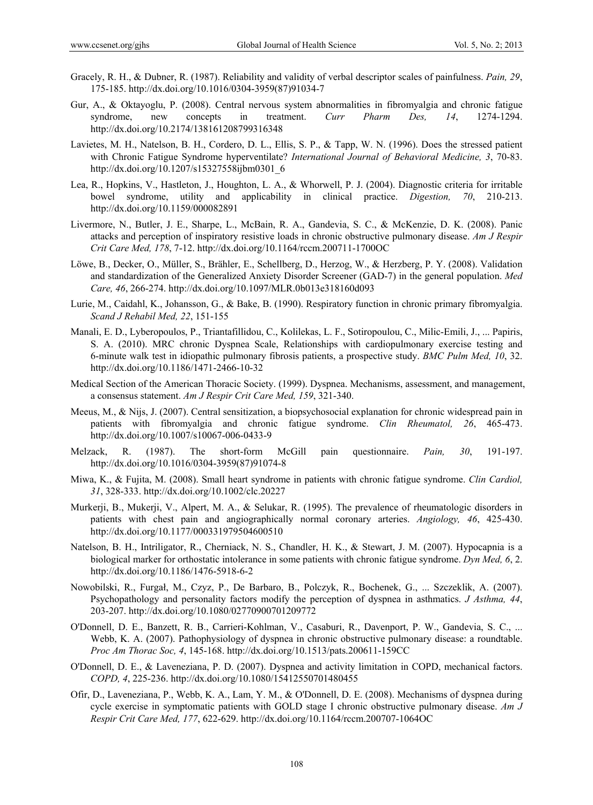- Gracely, R. H., & Dubner, R. (1987). Reliability and validity of verbal descriptor scales of painfulness. *Pain, 29*, 175-185. http://dx.doi.org/10.1016/0304-3959(87)91034-7
- Gur, A., & Oktayoglu, P. (2008). Central nervous system abnormalities in fibromyalgia and chronic fatigue syndrome, new concepts in treatment. *Curr Pharm Des, 14*, 1274-1294. http://dx.doi.org/10.2174/138161208799316348
- Lavietes, M. H., Natelson, B. H., Cordero, D. L., Ellis, S. P., & Tapp, W. N. (1996). Does the stressed patient with Chronic Fatigue Syndrome hyperventilate? *International Journal of Behavioral Medicine, 3*, 70-83. http://dx.doi.org/10.1207/s15327558ijbm0301\_6
- Lea, R., Hopkins, V., Hastleton, J., Houghton, L. A., & Whorwell, P. J. (2004). Diagnostic criteria for irritable bowel syndrome, utility and applicability in clinical practice. *Digestion, 70*, 210-213. http://dx.doi.org/10.1159/000082891
- Livermore, N., Butler, J. E., Sharpe, L., McBain, R. A., Gandevia, S. C., & McKenzie, D. K. (2008). Panic attacks and perception of inspiratory resistive loads in chronic obstructive pulmonary disease. *Am J Respir Crit Care Med, 178*, 7-12. http://dx.doi.org/10.1164/rccm.200711-1700OC
- Löwe, B., Decker, O., Müller, S., Brähler, E., Schellberg, D., Herzog, W., & Herzberg, P. Y. (2008). Validation and standardization of the Generalized Anxiety Disorder Screener (GAD-7) in the general population. *Med Care, 46*, 266-274. http://dx.doi.org/10.1097/MLR.0b013e318160d093
- Lurie, M., Caidahl, K., Johansson, G., & Bake, B. (1990). Respiratory function in chronic primary fibromyalgia. *Scand J Rehabil Med, 22*, 151-155
- Manali, E. D., Lyberopoulos, P., Triantafillidou, C., Kolilekas, L. F., Sotiropoulou, C., Milic-Emili, J., ... Papiris, S. A. (2010). MRC chronic Dyspnea Scale, Relationships with cardiopulmonary exercise testing and 6-minute walk test in idiopathic pulmonary fibrosis patients, a prospective study. *BMC Pulm Med, 10*, 32. http://dx.doi.org/10.1186/1471-2466-10-32
- Medical Section of the American Thoracic Society. (1999). Dyspnea. Mechanisms, assessment, and management, a consensus statement. *Am J Respir Crit Care Med, 159*, 321-340.
- Meeus, M., & Nijs, J. (2007). Central sensitization, a biopsychosocial explanation for chronic widespread pain in patients with fibromyalgia and chronic fatigue syndrome. *Clin Rheumatol, 26*, 465-473. http://dx.doi.org/10.1007/s10067-006-0433-9
- Melzack, R. (1987). The short-form McGill pain questionnaire. *Pain, 30*, 191-197. http://dx.doi.org/10.1016/0304-3959(87)91074-8
- Miwa, K., & Fujita, M. (2008). Small heart syndrome in patients with chronic fatigue syndrome. *Clin Cardiol, 31*, 328-333. http://dx.doi.org/10.1002/clc.20227
- Murkerji, B., Mukerji, V., Alpert, M. A., & Selukar, R. (1995). The prevalence of rheumatologic disorders in patients with chest pain and angiographically normal coronary arteries. *Angiology, 46*, 425-430. http://dx.doi.org/10.1177/000331979504600510
- Natelson, B. H., Intriligator, R., Cherniack, N. S., Chandler, H. K., & Stewart, J. M. (2007). Hypocapnia is a biological marker for orthostatic intolerance in some patients with chronic fatigue syndrome. *Dyn Med, 6*, 2. http://dx.doi.org/10.1186/1476-5918-6-2
- Nowobilski, R., Furgał, M., Czyz, P., De Barbaro, B., Polczyk, R., Bochenek, G., ... Szczeklik, A. (2007). Psychopathology and personality factors modify the perception of dyspnea in asthmatics. *J Asthma, 44*, 203-207. http://dx.doi.org/10.1080/02770900701209772
- O'Donnell, D. E., Banzett, R. B., Carrieri-Kohlman, V., Casaburi, R., Davenport, P. W., Gandevia, S. C., ... Webb, K. A. (2007). Pathophysiology of dyspnea in chronic obstructive pulmonary disease: a roundtable. *Proc Am Thorac Soc, 4*, 145-168. http://dx.doi.org/10.1513/pats.200611-159CC
- O'Donnell, D. E., & Laveneziana, P. D. (2007). Dyspnea and activity limitation in COPD, mechanical factors. *COPD, 4*, 225-236. http://dx.doi.org/10.1080/15412550701480455
- Ofir, D., Laveneziana, P., Webb, K. A., Lam, Y. M., & O'Donnell, D. E. (2008). Mechanisms of dyspnea during cycle exercise in symptomatic patients with GOLD stage I chronic obstructive pulmonary disease. *Am J Respir Crit Care Med, 177*, 622-629. http://dx.doi.org/10.1164/rccm.200707-1064OC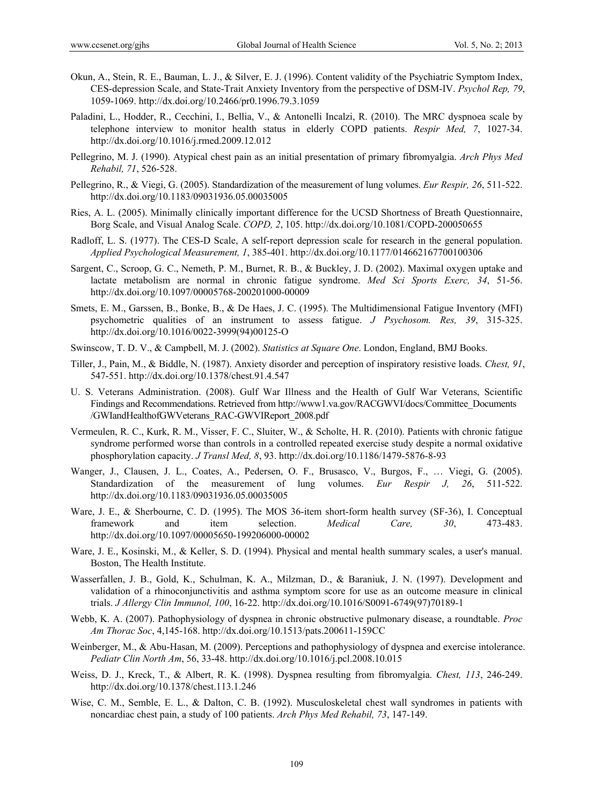- Okun, A., Stein, R. E., Bauman, L. J., & Silver, E. J. (1996). Content validity of the Psychiatric Symptom Index, CES-depression Scale, and State-Trait Anxiety Inventory from the perspective of DSM-IV. *Psychol Rep, 79*, 1059-1069. http://dx.doi.org/10.2466/pr0.1996.79.3.1059
- Paladini, L., Hodder, R., Cecchini, I., Bellia, V., & Antonelli Incalzi, R. (2010). The MRC dyspnoea scale by telephone interview to monitor health status in elderly COPD patients. *Respir Med, 7*, 1027-34. http://dx.doi.org/10.1016/j.rmed.2009.12.012
- Pellegrino, M. J. (1990). Atypical chest pain as an initial presentation of primary fibromyalgia. *Arch Phys Med Rehabil, 71*, 526-528.
- Pellegrino, R., & Viegi, G. (2005). Standardization of the measurement of lung volumes. *Eur Respir, 26*, 511-522. http://dx.doi.org/10.1183/09031936.05.00035005
- Ries, A. L. (2005). Minimally clinically important difference for the UCSD Shortness of Breath Questionnaire, Borg Scale, and Visual Analog Scale. *COPD, 2*, 105. http://dx.doi.org/10.1081/COPD-200050655
- Radloff, L. S. (1977). The CES-D Scale, A self-report depression scale for research in the general population. *Applied Psychological Measurement, 1*, 385-401. http://dx.doi.org/10.1177/014662167700100306
- Sargent, C., Scroop, G. C., Nemeth, P. M., Burnet, R. B., & Buckley, J. D. (2002). Maximal oxygen uptake and lactate metabolism are normal in chronic fatigue syndrome. *Med Sci Sports Exerc, 34*, 51-56. http://dx.doi.org/10.1097/00005768-200201000-00009
- Smets, E. M., Garssen, B., Bonke, B., & De Haes, J. C. (1995). The Multidimensional Fatigue Inventory (MFI) psychometric qualities of an instrument to assess fatigue. *J Psychosom. Res, 39*, 315-325. http://dx.doi.org/10.1016/0022-3999(94)00125-O
- Swinscow, T. D. V., & Campbell, M. J. (2002). *Statistics at Square One*. London, England, BMJ Books.
- Tiller, J., Pain, M., & Biddle, N. (1987). Anxiety disorder and perception of inspiratory resistive loads. *Chest, 91*, 547-551. http://dx.doi.org/10.1378/chest.91.4.547
- U. S. Veterans Administration. (2008). Gulf War Illness and the Health of Gulf War Veterans, Scientific Findings and Recommendations. Retrieved from http://www1.va.gov/RACGWVI/docs/Committee\_Documents /GWIandHealthofGWVeterans\_RAC-GWVIReport\_2008.pdf
- Vermeulen, R. C., Kurk, R. M., Visser, F. C., Sluiter, W., & Scholte, H. R. (2010). Patients with chronic fatigue syndrome performed worse than controls in a controlled repeated exercise study despite a normal oxidative phosphorylation capacity. *J Transl Med, 8*, 93. http://dx.doi.org/10.1186/1479-5876-8-93
- Wanger, J., Clausen, J. L., Coates, A., Pedersen, O. F., Brusasco, V., Burgos, F., … Viegi, G. (2005). Standardization of the measurement of lung volumes. *Eur Respir J, 26*, 511-522. http://dx.doi.org/10.1183/09031936.05.00035005
- Ware, J. E., & Sherbourne, C. D. (1995). The MOS 36-item short-form health survey (SF-36), I. Conceptual framework and item selection. *Medical Care, 30*, 473-483. http://dx.doi.org/10.1097/00005650-199206000-00002
- Ware, J. E., Kosinski, M., & Keller, S. D. (1994). Physical and mental health summary scales, a user's manual. Boston, The Health Institute.
- Wasserfallen, J. B., Gold, K., Schulman, K. A., Milzman, D., & Baraniuk, J. N. (1997). Development and validation of a rhinoconjunctivitis and asthma symptom score for use as an outcome measure in clinical trials. *J Allergy Clin Immunol, 100*, 16-22. http://dx.doi.org/10.1016/S0091-6749(97)70189-1
- Webb, K. A. (2007). Pathophysiology of dyspnea in chronic obstructive pulmonary disease, a roundtable. *Proc Am Thorac Soc*, 4,145-168. http://dx.doi.org/10.1513/pats.200611-159CC
- Weinberger, M., & Abu-Hasan, M. (2009). Perceptions and pathophysiology of dyspnea and exercise intolerance. *Pediatr Clin North Am*, 56, 33-48. http://dx.doi.org/10.1016/j.pcl.2008.10.015
- Weiss, D. J., Kreck, T., & Albert, R. K. (1998). Dyspnea resulting from fibromyalgia. *Chest, 113*, 246-249. http://dx.doi.org/10.1378/chest.113.1.246
- Wise, C. M., Semble, E. L., & Dalton, C. B. (1992). Musculoskeletal chest wall syndromes in patients with noncardiac chest pain, a study of 100 patients. *Arch Phys Med Rehabil, 73*, 147-149.